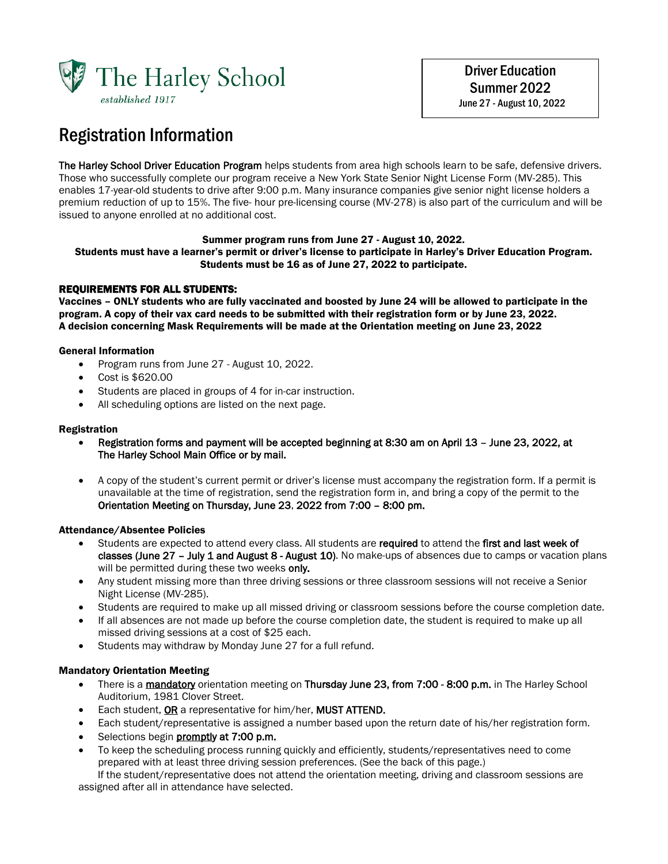

 Driver Education Summer 2022 June 27 - August 10, 2022

# Registration Information

The Harley School Driver Education Program helps students from area high schools learn to be safe, defensive drivers. Those who successfully complete our program receive a New York State Senior Night License Form (MV-285). This enables 17-year-old students to drive after 9:00 p.m. Many insurance companies give senior night license holders a premium reduction of up to 15%. The five- hour pre-licensing course (MV-278) is also part of the curriculum and will be issued to anyone enrolled at no additional cost.

#### Summer program runs from June 27 - August 10, 2022.

Students must have a learner's permit or driver's license to participate in Harley's Driver Education Program. Students must be 16 as of June 27, 2022 to participate.

#### REQUIREMENTS FOR ALL STUDENTS:

Vaccines – ONLY students who are fully vaccinated and boosted by June 24 will be allowed to participate in the program. A copy of their vax card needs to be submitted with their registration form or by June 23, 2022. A decision concerning Mask Requirements will be made at the Orientation meeting on June 23, 2022

#### General Information

- Program runs from June 27 August 10, 2022.
- Cost is \$620.00
- Students are placed in groups of 4 for in-car instruction.
- All scheduling options are listed on the next page.

#### Registration

- Registration forms and payment will be accepted beginning at 8:30 am on April 13 June 23, 2022, at The Harley School Main Office or by mail.
- A copy of the student's current permit or driver's license must accompany the registration form. If a permit is unavailable at the time of registration, send the registration form in, and bring a copy of the permit to the Orientation Meeting on Thursday, June 23, 2022 from 7:00 – 8:00 pm.

#### Attendance/Absentee Policies

- Students are expected to attend every class. All students are required to attend the first and last week of classes (June 27 - July 1 and August 8 - August 10). No make-ups of absences due to camps or vacation plans will be permitted during these two weeks only.
- Any student missing more than three driving sessions or three classroom sessions will not receive a Senior Night License (MV-285).
- Students are required to make up all missed driving or classroom sessions before the course completion date.
- If all absences are not made up before the course completion date, the student is required to make up all missed driving sessions at a cost of \$25 each.
- Students may withdraw by Monday June 27 for a full refund.

#### Mandatory Orientation Meeting

- There is a mandatory orientation meeting on Thursday June 23, from 7:00 8:00 p.m. in The Harley School Auditorium, 1981 Clover Street.
- Each student, OR a representative for him/her, MUST ATTEND.
- Each student/representative is assigned a number based upon the return date of his/her registration form.
- Selections begin **promptly at 7:00 p.m.**
- To keep the scheduling process running quickly and efficiently, students/representatives need to come prepared with at least three driving session preferences. (See the back of this page.)

 If the student/representative does not attend the orientation meeting, driving and classroom sessions are assigned after all in attendance have selected.